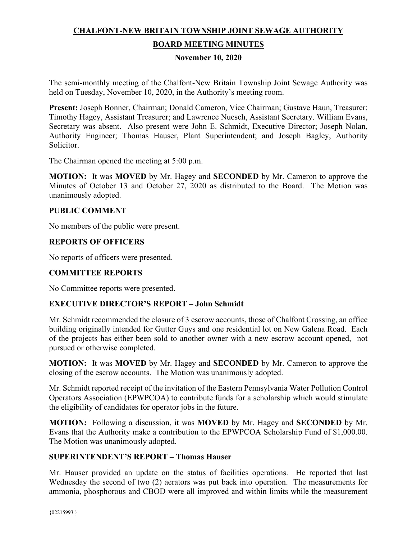# **CHALFONT-NEW BRITAIN TOWNSHIP JOINT SEWAGE AUTHORITY**

# **BOARD MEETING MINUTES**

## **November 10, 2020**

The semi-monthly meeting of the Chalfont-New Britain Township Joint Sewage Authority was held on Tuesday, November 10, 2020, in the Authority's meeting room.

**Present:** Joseph Bonner, Chairman; Donald Cameron, Vice Chairman; Gustave Haun, Treasurer; Timothy Hagey, Assistant Treasurer; and Lawrence Nuesch, Assistant Secretary. William Evans, Secretary was absent. Also present were John E. Schmidt, Executive Director; Joseph Nolan, Authority Engineer; Thomas Hauser, Plant Superintendent; and Joseph Bagley, Authority Solicitor.

The Chairman opened the meeting at 5:00 p.m.

**MOTION:** It was **MOVED** by Mr. Hagey and **SECONDED** by Mr. Cameron to approve the Minutes of October 13 and October 27, 2020 as distributed to the Board. The Motion was unanimously adopted.

## **PUBLIC COMMENT**

No members of the public were present.

# **REPORTS OF OFFICERS**

No reports of officers were presented.

# **COMMITTEE REPORTS**

No Committee reports were presented.

#### **EXECUTIVE DIRECTOR'S REPORT – John Schmidt**

Mr. Schmidt recommended the closure of 3 escrow accounts, those of Chalfont Crossing, an office building originally intended for Gutter Guys and one residential lot on New Galena Road. Each of the projects has either been sold to another owner with a new escrow account opened, not pursued or otherwise completed.

**MOTION:** It was **MOVED** by Mr. Hagey and **SECONDED** by Mr. Cameron to approve the closing of the escrow accounts. The Motion was unanimously adopted.

Mr. Schmidt reported receipt of the invitation of the Eastern Pennsylvania Water Pollution Control Operators Association (EPWPCOA) to contribute funds for a scholarship which would stimulate the eligibility of candidates for operator jobs in the future.

**MOTION:** Following a discussion, it was **MOVED** by Mr. Hagey and **SECONDED** by Mr. Evans that the Authority make a contribution to the EPWPCOA Scholarship Fund of \$1,000.00. The Motion was unanimously adopted.

### **SUPERINTENDENT'S REPORT – Thomas Hauser**

Mr. Hauser provided an update on the status of facilities operations. He reported that last Wednesday the second of two (2) aerators was put back into operation. The measurements for ammonia, phosphorous and CBOD were all improved and within limits while the measurement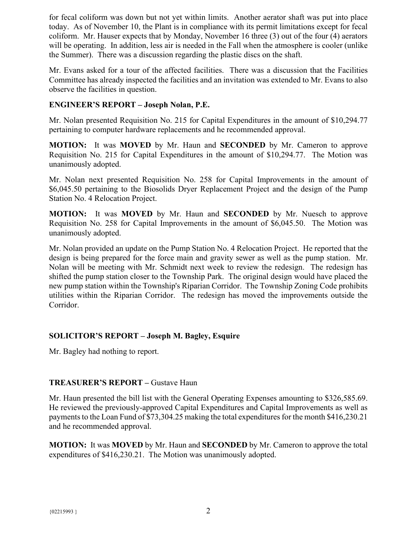for fecal coliform was down but not yet within limits. Another aerator shaft was put into place today. As of November 10, the Plant is in compliance with its permit limitations except for fecal coliform. Mr. Hauser expects that by Monday, November 16 three (3) out of the four (4) aerators will be operating. In addition, less air is needed in the Fall when the atmosphere is cooler (unlike the Summer). There was a discussion regarding the plastic discs on the shaft.

Mr. Evans asked for a tour of the affected facilities. There was a discussion that the Facilities Committee has already inspected the facilities and an invitation was extended to Mr. Evans to also observe the facilities in question.

# **ENGINEER'S REPORT – Joseph Nolan, P.E.**

Mr. Nolan presented Requisition No. 215 for Capital Expenditures in the amount of \$10,294.77 pertaining to computer hardware replacements and he recommended approval.

**MOTION:** It was **MOVED** by Mr. Haun and **SECONDED** by Mr. Cameron to approve Requisition No. 215 for Capital Expenditures in the amount of \$10,294.77. The Motion was unanimously adopted.

Mr. Nolan next presented Requisition No. 258 for Capital Improvements in the amount of \$6,045.50 pertaining to the Biosolids Dryer Replacement Project and the design of the Pump Station No. 4 Relocation Project.

**MOTION:** It was **MOVED** by Mr. Haun and **SECONDED** by Mr. Nuesch to approve Requisition No. 258 for Capital Improvements in the amount of \$6,045.50. The Motion was unanimously adopted.

Mr. Nolan provided an update on the Pump Station No. 4 Relocation Project. He reported that the design is being prepared for the force main and gravity sewer as well as the pump station. Mr. Nolan will be meeting with Mr. Schmidt next week to review the redesign. The redesign has shifted the pump station closer to the Township Park. The original design would have placed the new pump station within the Township's Riparian Corridor. The Township Zoning Code prohibits utilities within the Riparian Corridor. The redesign has moved the improvements outside the Corridor.

# **SOLICITOR'S REPORT – Joseph M. Bagley, Esquire**

Mr. Bagley had nothing to report.

# **TREASURER'S REPORT –** Gustave Haun

Mr. Haun presented the bill list with the General Operating Expenses amounting to \$326,585.69. He reviewed the previously-approved Capital Expenditures and Capital Improvements as well as payments to the Loan Fund of \$73,304.25 making the total expenditures for the month \$416,230.21 and he recommended approval.

**MOTION:** It was **MOVED** by Mr. Haun and **SECONDED** by Mr. Cameron to approve the total expenditures of \$416,230.21. The Motion was unanimously adopted.